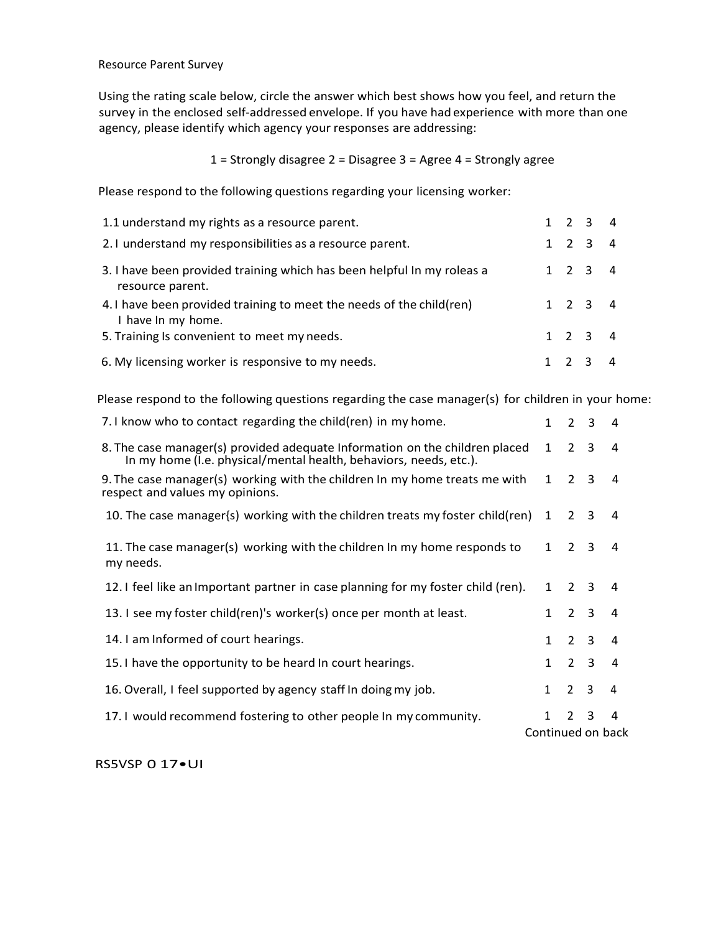Resource Parent Survey

Using the rating scale below, circle the answer which best shows how you feel, and return the survey in the enclosed self-addressed envelope. If you have had experience with more than one agency, please identify which agency your responses are addressing:

1 = Strongly disagree 2 = Disagree 3 = Agree 4 = Strongly agree

Please respond to the following questions regarding your licensing worker:

| 1.1 understand my rights as a resource parent.                                             |  | $1 \quad 2 \quad 3 \quad 4$ |  |
|--------------------------------------------------------------------------------------------|--|-----------------------------|--|
| 2.1 understand my responsibilities as a resource parent.                                   |  | $1 \t2 \t3 \t4$             |  |
| 3. I have been provided training which has been helpful In my roleas a<br>resource parent. |  | $1 \quad 2 \quad 3 \quad 4$ |  |
| 4.1 have been provided training to meet the needs of the child (ren)<br>I have In my home. |  | $1 \t2 \t3 \t4$             |  |
| 5. Training Is convenient to meet my needs.                                                |  | $1 \quad 2 \quad 3 \quad 4$ |  |
| 6. My licensing worker is responsive to my needs.                                          |  | $1 \t2 \t3 \t4$             |  |

Please respond to the following questions regarding the case manager(s) for children in your home:

| 7.1 know who to contact regarding the child(ren) in my home.                                                                                     |                   |                     | $2 \quad 3 \quad 4$ |                |
|--------------------------------------------------------------------------------------------------------------------------------------------------|-------------------|---------------------|---------------------|----------------|
| 8. The case manager(s) provided adequate Information on the children placed<br>In my home (I.e. physical/mental health, behaviors, needs, etc.). |                   | $1\quad 2\quad 3$   |                     | $\overline{4}$ |
| 9. The case manager(s) working with the children In my home treats me with<br>respect and values my opinions.                                    | $\mathbf{1}$      | $2^{\circ}$         | 3                   | 4              |
| 10. The case manager{s} working with the children treats my foster child(ren)                                                                    | 1                 | 2 3                 |                     | $\overline{4}$ |
| 11. The case manager(s) working with the children In my home responds to<br>my needs.                                                            |                   | $1 \quad 2 \quad 3$ |                     | 4              |
| 12. I feel like an Important partner in case planning for my foster child (ren).                                                                 | $\mathbf{1}$      | 2 3                 |                     | $\overline{4}$ |
| 13. I see my foster child(ren)'s worker(s) once per month at least.                                                                              |                   |                     | $1\quad 2\quad 3$   | $\overline{4}$ |
| 14. I am Informed of court hearings.                                                                                                             |                   | $1\quad 2\quad 3$   |                     | $\overline{4}$ |
| 15.1 have the opportunity to be heard In court hearings.                                                                                         | $\mathbf{1}$      | $2 \quad 3$         |                     | $\overline{4}$ |
| 16. Overall, I feel supported by agency staff In doing my job.                                                                                   | $\mathbf{1}$      | 2 <sup>3</sup>      |                     | 4              |
| 17.1 would recommend fostering to other people In my community.                                                                                  | $\mathbf{1}$      | $2^{\circ}$         | 3                   | 4              |
|                                                                                                                                                  | Continued on back |                     |                     |                |

RS5VSP 0 17•UI